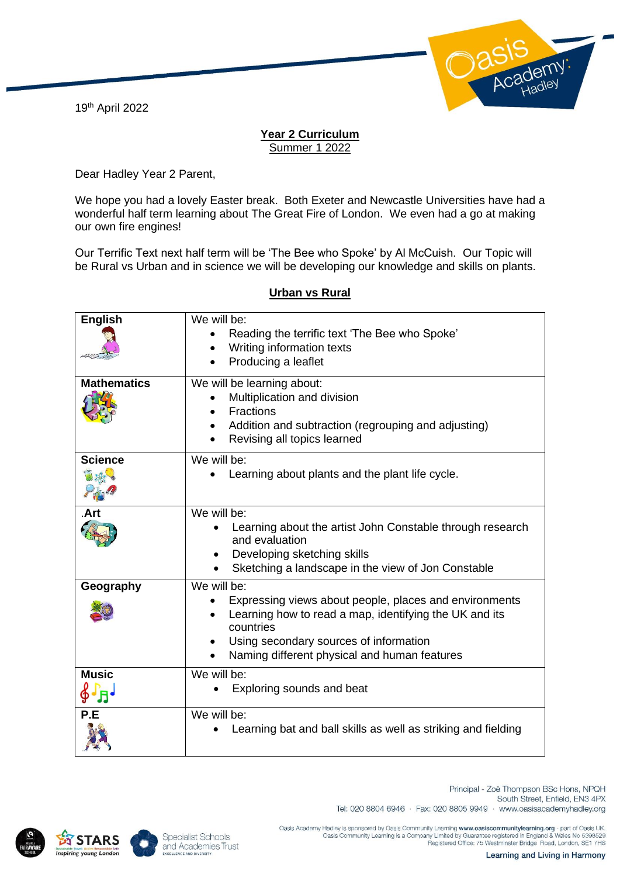19th April 2022



## **Year 2 Curriculum** Summer 1 2022

Dear Hadley Year 2 Parent,

We hope you had a lovely Easter break. Both Exeter and Newcastle Universities have had a wonderful half term learning about The Great Fire of London. We even had a go at making our own fire engines!

Our Terrific Text next half term will be 'The Bee who Spoke' by Al McCuish. Our Topic will be Rural vs Urban and in science we will be developing our knowledge and skills on plants.

| <b>English</b><br><b>Mathematics</b>    | We will be:<br>Reading the terrific text 'The Bee who Spoke'<br>Writing information texts<br>Producing a leaflet<br>We will be learning about:<br>Multiplication and division                                                          |
|-----------------------------------------|----------------------------------------------------------------------------------------------------------------------------------------------------------------------------------------------------------------------------------------|
|                                         | Fractions<br>Addition and subtraction (regrouping and adjusting)<br>$\bullet$<br>Revising all topics learned                                                                                                                           |
| <b>Science</b>                          | We will be:<br>Learning about plants and the plant life cycle.                                                                                                                                                                         |
| Art                                     | We will be:<br>Learning about the artist John Constable through research<br>and evaluation<br>Developing sketching skills<br>$\bullet$<br>Sketching a landscape in the view of Jon Constable                                           |
| Geography                               | We will be:<br>Expressing views about people, places and environments<br>Learning how to read a map, identifying the UK and its<br>countries<br>Using secondary sources of information<br>Naming different physical and human features |
| <b>Music</b><br>$\oint \Gamma_{\!\! H}$ | We will be:<br>Exploring sounds and beat                                                                                                                                                                                               |
| P.E                                     | We will be:<br>Learning bat and ball skills as well as striking and fielding                                                                                                                                                           |

## **Urban vs Rural**





Principal - Zoë Thompson BSc Hons, NPQH South Street, Enfield, EN3 4PX Tel: 020 8804 6946 · Fax: 020 8805 9949 · www.oasisacademyhadley.org

Oasis Academy Hadley is sponsored by Oasis Community Learning www.oasiscommunitylearning.org - part of Oasis UK<br>Oasis Community Learning is a Company Limited by Guarantee registered in England & Wales No 5398529<br>Registered